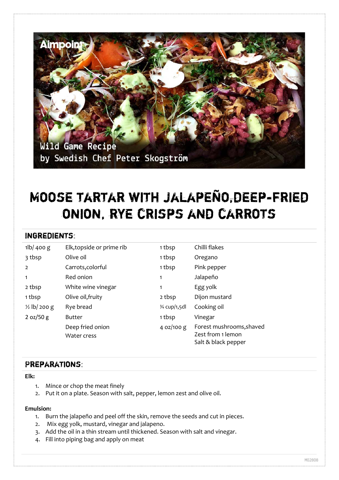

# Moose tartar with jalapeño,deep-fried onion, rye crisps and carrots

### Ingredients:

| $1\vert b \vert 400 \vert g$ | Elk, topside or prime rib       | 1 tbsp        | Chilli flakes                                 |
|------------------------------|---------------------------------|---------------|-----------------------------------------------|
| 3 tbsp                       | Olive oil                       | 1 tbsp        | Oregano                                       |
| $\overline{2}$               | Carrots, colorful               | 1 tbsp        | Pink pepper                                   |
| 1                            | Red onion                       | 1             | Jalapeño                                      |
| 2 tbsp                       | White wine vinegar              |               | Egg yolk                                      |
| 1 tbsp                       | Olive oil, fruity               | 2 tbsp        | Dijon mustard                                 |
| $\frac{1}{2}$ lb/ 200 g      | Rye bread                       | 3⁄4 cup/1,5dl | Cooking oil                                   |
| 2 oz/50 g                    | <b>Butter</b>                   | 1 tbsp        | Vinegar                                       |
|                              | Deep fried onion<br>Water cress | 4 $oz/100 g$  | Forest mushrooms, shaved<br>Zest from 1 lemon |
|                              |                                 |               | Salt & black pepper                           |

## Preparations:

#### **Elk:**

- 1. Mince or chop the meat finely
- 2. Put it on a plate. Season with salt, pepper, lemon zest and olive oil.

#### **Emulsion:**

- 1. Burn the jalapeño and peel off the skin, remove the seeds and cut in pieces.
- 2. Mix egg yolk, mustard, vinegar and jalapeno.
- 3. Add the oil in a thin stream until thickened. Season with salt and vinegar.
- 4. Fill into piping bag and apply on meat